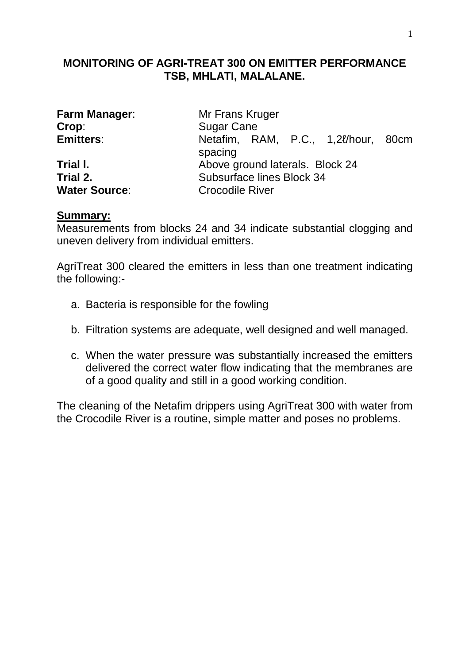### **MONITORING OF AGRI-TREAT 300 ON EMITTER PERFORMANCE TSB, MHLATI, MALALANE.**

|                  | Farm Manager: |
|------------------|---------------|
| Crop:            |               |
| <b>Emitters:</b> |               |
|                  |               |

**Water Source:** Crocodile River

**Mr Frans Kruger Sugar Cane Emitters**: Netafim, RAM, P.C., 1,2ℓ/hour, 80cm spacing **Trial I. Above ground laterals. Block 24 Trial 2.** Subsurface lines Block 34

### **Summary:**

Measurements from blocks 24 and 34 indicate substantial clogging and uneven delivery from individual emitters.

AgriTreat 300 cleared the emitters in less than one treatment indicating the following:-

- a. Bacteria is responsible for the fowling
- b. Filtration systems are adequate, well designed and well managed.
- c. When the water pressure was substantially increased the emitters delivered the correct water flow indicating that the membranes are of a good quality and still in a good working condition.

The cleaning of the Netafim drippers using AgriTreat 300 with water from the Crocodile River is a routine, simple matter and poses no problems.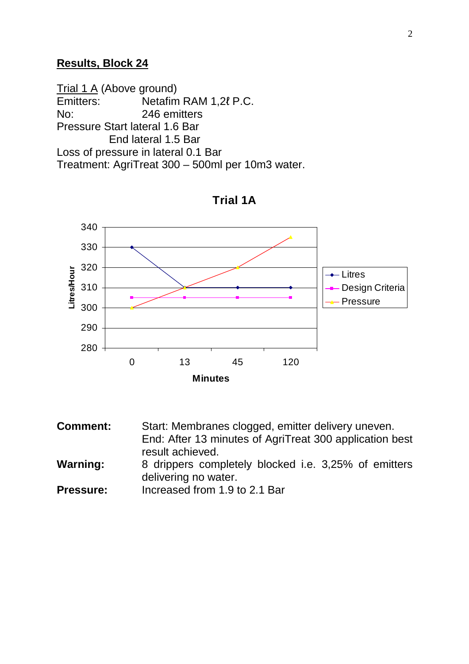#### **Results, Block 24**

Trial 1 A (Above ground) Emitters: Netafim RAM 1,2ℓ P.C. No: 246 emitters Pressure Start lateral 1.6 Bar End lateral 1.5 Bar Loss of pressure in lateral 0.1 Bar Treatment: AgriTreat 300 – 500ml per 10m3 water.



**Trial 1A**

**Comment:** Start: Membranes clogged, emitter delivery uneven. End: After 13 minutes of AgriTreat 300 application best result achieved. **Warning:** 8 drippers completely blocked i.e. 3,25% of emitters delivering no water. **Pressure:** Increased from 1.9 to 2.1 Bar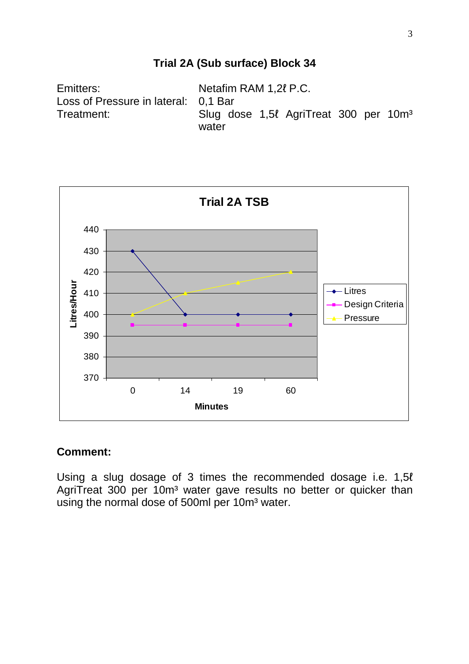## **Trial 2A (Sub surface) Block 34**

Emitters: Netafim RAM 1,2ℓ P.C. Loss of Pressure in lateral: 0,1 Bar Treatment: Slug dose 1,5ℓ AgriTreat 300 per 10m<sup>3</sup> water



#### **Comment:**

Using a slug dosage of 3 times the recommended dosage i.e. 1,5ℓ AgriTreat 300 per 10m<sup>3</sup> water gave results no better or quicker than using the normal dose of 500ml per 10m<sup>3</sup> water.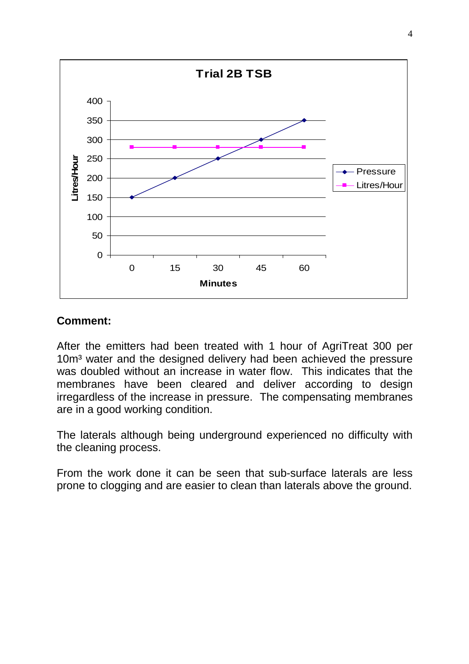

### **Comment:**

After the emitters had been treated with 1 hour of AgriTreat 300 per 10m<sup>3</sup> water and the designed delivery had been achieved the pressure was doubled without an increase in water flow. This indicates that the membranes have been cleared and deliver according to design irregardless of the increase in pressure. The compensating membranes are in a good working condition.

The laterals although being underground experienced no difficulty with the cleaning process.

From the work done it can be seen that sub-surface laterals are less prone to clogging and are easier to clean than laterals above the ground.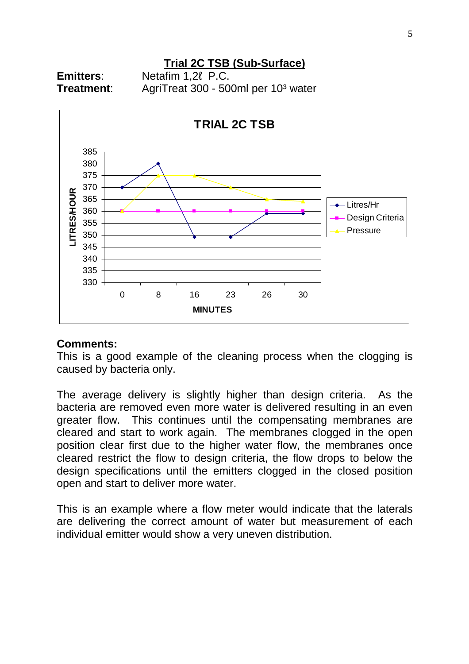# **Trial 2C TSB (Sub-Surface)**

**Emitters**: Netafim 1,2ℓ P.C. **Treatment:** AgriTreat 300 - 500ml per 10<sup>3</sup> water



#### **Comments:**

This is a good example of the cleaning process when the clogging is caused by bacteria only.

The average delivery is slightly higher than design criteria. As the bacteria are removed even more water is delivered resulting in an even greater flow. This continues until the compensating membranes are cleared and start to work again. The membranes clogged in the open position clear first due to the higher water flow, the membranes once cleared restrict the flow to design criteria, the flow drops to below the design specifications until the emitters clogged in the closed position open and start to deliver more water.

This is an example where a flow meter would indicate that the laterals are delivering the correct amount of water but measurement of each individual emitter would show a very uneven distribution.